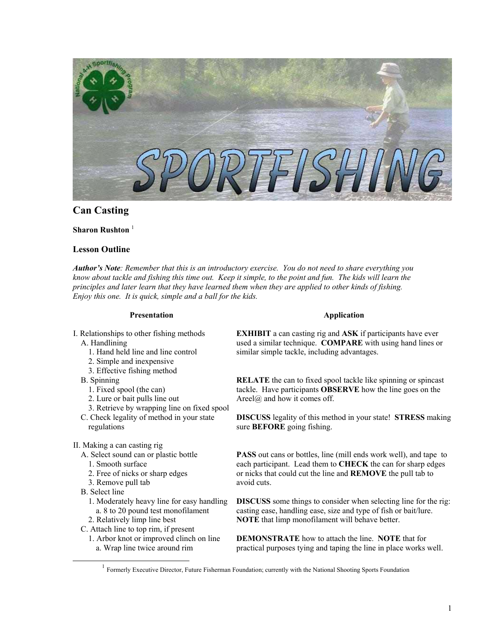

# **Can Casting**

#### **Sharon Rushton**<sup>[1](#page-0-0)</sup>

# **Lesson Outline**

*Author's Note: Remember that this is an introductory exercise. You do not need to share everything you know about tackle and fishing this time out. Keep it simple, to the point and fun. The kids will learn the principles and later learn that they have learned them when they are applied to other kinds of fishing. Enjoy this one. It is quick, simple and a ball for the kids.*

#### **Presentation**

- I. Relationships to other fishing methods A. Handlining
	- 1. Hand held line and line control
	- 2. Simple and inexpensive
	- 3. Effective fishing method
	- B. Spinning
		- 1. Fixed spool (the can)
		- 2. Lure or bait pulls line out
	- 3. Retrieve by wrapping line on fixed spool
	- C. Check legality of method in your state regulations
- II. Making a can casting rig
	- A. Select sound can or plastic bottle
		- 1. Smooth surface
		- 2. Free of nicks or sharp edges
		- 3. Remove pull tab
	- B. Select line
		- 1. Moderately heavy line for easy handling a. 8 to 20 pound test monofilament
	- 2. Relatively limp line best
	- C. Attach line to top rim, if present
		- 1. Arbor knot or improved clinch on line a. Wrap line twice around rim

#### **Application**

**EXHIBIT** a can casting rig and **ASK** if participants have ever used a similar technique. **COMPARE** with using hand lines or similar simple tackle, including advantages.

**RELATE** the can to fixed spool tackle like spinning or spincast tackle. Have participants **OBSERVE** how the line goes on the Areel@ and how it comes off.

**DISCUSS** legality of this method in your state! **STRESS** making sure **BEFORE** going fishing.

**PASS** out cans or bottles, line (mill ends work well), and tape to each participant. Lead them to **CHECK** the can for sharp edges or nicks that could cut the line and **REMOVE** the pull tab to avoid cuts.

**DISCUSS** some things to consider when selecting line for the rig: casting ease, handling ease, size and type of fish or bait/lure. **NOTE** that limp monofilament will behave better.

**DEMONSTRATE** how to attach the line. **NOTE** that for practical purposes tying and taping the line in place works well.

<span id="page-0-0"></span><sup>&</sup>lt;sup>1</sup> Formerly Executive Director, Future Fisherman Foundation; currently with the National Shooting Sports Foundation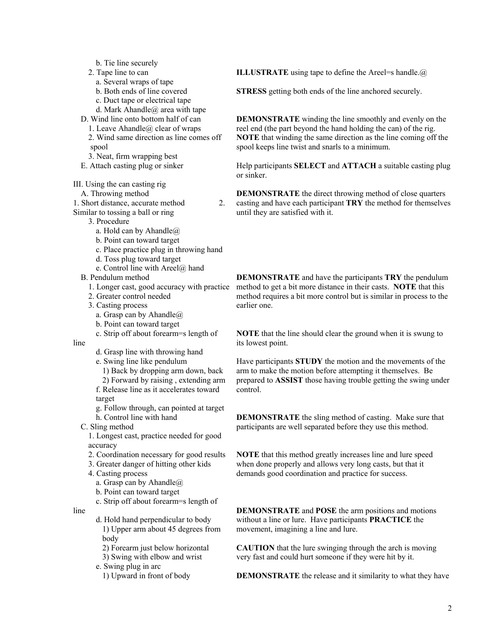- b. Tie line securely
- 2. Tape line to can
	- a. Several wraps of tape
	- b. Both ends of line covered
	- c. Duct tape or electrical tape
- d. Mark Ahandle $@$  area with tape
- D. Wind line onto bottom half of can 1. Leave Ahandle  $\omega$  clear of wraps
	- 2. Wind same direction as line comes off spool
	- 3. Neat, firm wrapping best
- E. Attach casting plug or sinker

III. Using the can casting rig

- A. Throwing method
- 1. Short distance, accurate method 2.
- Similar to tossing a ball or ring
	- 3. Procedure
		- a. Hold can by Ahandle@
		- b. Point can toward target
		- c. Place practice plug in throwing hand
		- d. Toss plug toward target
		- e. Control line with Areel@ hand
	- B. Pendulum method
		- 1. Longer cast, good accuracy with practice
		- 2. Greater control needed
		- 3. Casting process
			- a. Grasp can by Ahandle $@$
			- b. Point can toward target
		- c. Strip off about forearm=s length of
- line
	- d. Grasp line with throwing hand
	- e. Swing line like pendulum
	- 1) Back by dropping arm down, back 2) Forward by raising , extending arm
	- f. Release line as it accelerates toward target
	- g. Follow through, can pointed at target h. Control line with hand
	- C. Sling method

1. Longest cast, practice needed for good accuracy

- 2. Coordination necessary for good results
- 3. Greater danger of hitting other kids
- 4. Casting process
	- a. Grasp can by Ahandle@
	- b. Point can toward target
	- c. Strip off about forearm=s length of
- line
- d. Hold hand perpendicular to body 1) Upper arm about 45 degrees from body
	- 2) Forearm just below horizontal
	- 3) Swing with elbow and wrist
- e. Swing plug in arc
	- 1) Upward in front of body

**ILLUSTRATE** using tape to define the Areel=s handle. $\omega$ 

**STRESS** getting both ends of the line anchored securely.

**DEMONSTRATE** winding the line smoothly and evenly on the reel end (the part beyond the hand holding the can) of the rig. **NOTE** that winding the same direction as the line coming off the spool keeps line twist and snarls to a minimum.

Help participants **SELECT** and **ATTACH** a suitable casting plug or sinker.

**DEMONSTRATE** the direct throwing method of close quarters casting and have each participant **TRY** the method for themselves until they are satisfied with it.

**DEMONSTRATE** and have the participants **TRY** the pendulum method to get a bit more distance in their casts. **NOTE** that this method requires a bit more control but is similar in process to the earlier one.

**NOTE** that the line should clear the ground when it is swung to its lowest point.

Have participants **STUDY** the motion and the movements of the arm to make the motion before attempting it themselves. Be prepared to **ASSIST** those having trouble getting the swing under control.

**DEMONSTRATE** the sling method of casting. Make sure that participants are well separated before they use this method.

**NOTE** that this method greatly increases line and lure speed when done properly and allows very long casts, but that it demands good coordination and practice for success.

**DEMONSTRATE** and **POSE** the arm positions and motions without a line or lure. Have participants **PRACTICE** the movement, imagining a line and lure.

**CAUTION** that the lure swinging through the arch is moving very fast and could hurt someone if they were hit by it.

**DEMONSTRATE** the release and it similarity to what they have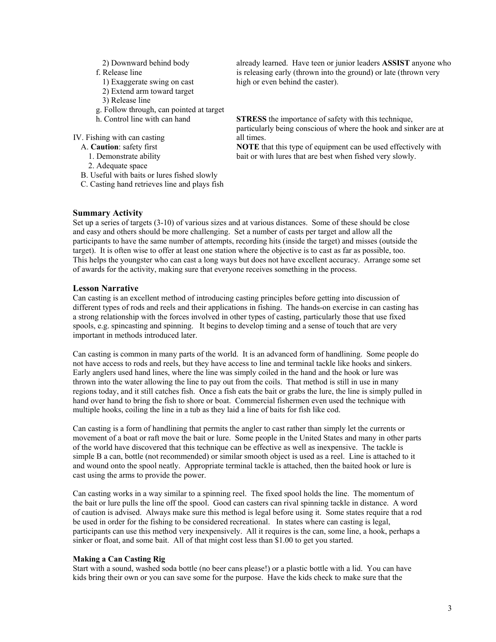- 2) Downward behind body
- f. Release line
	- 1) Exaggerate swing on cast
	- 2) Extend arm toward target
- 3) Release line
- g. Follow through, can pointed at target
- h. Control line with can hand

IV. Fishing with can casting

- A. **Caution**: safety first
	- 1. Demonstrate ability
	- 2. Adequate space
- B. Useful with baits or lures fished slowly
- C. Casting hand retrieves line and plays fish

already learned. Have teen or junior leaders **ASSIST** anyone who is releasing early (thrown into the ground) or late (thrown very high or even behind the caster).

**STRESS** the importance of safety with this technique, particularly being conscious of where the hook and sinker are at all times.

**NOTE** that this type of equipment can be used effectively with bait or with lures that are best when fished very slowly.

#### **Summary Activity**

Set up a series of targets (3-10) of various sizes and at various distances. Some of these should be close and easy and others should be more challenging. Set a number of casts per target and allow all the participants to have the same number of attempts, recording hits (inside the target) and misses (outside the target). It is often wise to offer at least one station where the objective is to cast as far as possible, too. This helps the youngster who can cast a long ways but does not have excellent accuracy. Arrange some set of awards for the activity, making sure that everyone receives something in the process.

# **Lesson Narrative**

Can casting is an excellent method of introducing casting principles before getting into discussion of different types of rods and reels and their applications in fishing. The hands-on exercise in can casting has a strong relationship with the forces involved in other types of casting, particularly those that use fixed spools, e.g. spincasting and spinning. It begins to develop timing and a sense of touch that are very important in methods introduced later.

Can casting is common in many parts of the world. It is an advanced form of handlining. Some people do not have access to rods and reels, but they have access to line and terminal tackle like hooks and sinkers. Early anglers used hand lines, where the line was simply coiled in the hand and the hook or lure was thrown into the water allowing the line to pay out from the coils. That method is still in use in many regions today, and it still catches fish. Once a fish eats the bait or grabs the lure, the line is simply pulled in hand over hand to bring the fish to shore or boat. Commercial fishermen even used the technique with multiple hooks, coiling the line in a tub as they laid a line of baits for fish like cod.

Can casting is a form of handlining that permits the angler to cast rather than simply let the currents or movement of a boat or raft move the bait or lure. Some people in the United States and many in other parts of the world have discovered that this technique can be effective as well as inexpensive. The tackle is simple B a can, bottle (not recommended) or similar smooth object is used as a reel. Line is attached to it and wound onto the spool neatly. Appropriate terminal tackle is attached, then the baited hook or lure is cast using the arms to provide the power.

Can casting works in a way similar to a spinning reel. The fixed spool holds the line. The momentum of the bait or lure pulls the line off the spool. Good can casters can rival spinning tackle in distance. A word of caution is advised. Always make sure this method is legal before using it. Some states require that a rod be used in order for the fishing to be considered recreational. In states where can casting is legal, participants can use this method very inexpensively. All it requires is the can, some line, a hook, perhaps a sinker or float, and some bait. All of that might cost less than \$1.00 to get you started.

# **Making a Can Casting Rig**

Start with a sound, washed soda bottle (no beer cans please!) or a plastic bottle with a lid. You can have kids bring their own or you can save some for the purpose. Have the kids check to make sure that the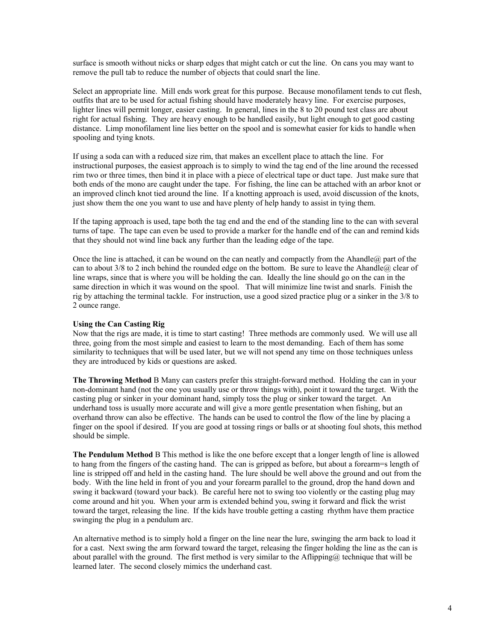surface is smooth without nicks or sharp edges that might catch or cut the line. On cans you may want to remove the pull tab to reduce the number of objects that could snarl the line.

Select an appropriate line. Mill ends work great for this purpose. Because monofilament tends to cut flesh, outfits that are to be used for actual fishing should have moderately heavy line. For exercise purposes, lighter lines will permit longer, easier casting. In general, lines in the 8 to 20 pound test class are about right for actual fishing. They are heavy enough to be handled easily, but light enough to get good casting distance. Limp monofilament line lies better on the spool and is somewhat easier for kids to handle when spooling and tying knots.

If using a soda can with a reduced size rim, that makes an excellent place to attach the line. For instructional purposes, the easiest approach is to simply to wind the tag end of the line around the recessed rim two or three times, then bind it in place with a piece of electrical tape or duct tape. Just make sure that both ends of the mono are caught under the tape. For fishing, the line can be attached with an arbor knot or an improved clinch knot tied around the line. If a knotting approach is used, avoid discussion of the knots, just show them the one you want to use and have plenty of help handy to assist in tying them.

If the taping approach is used, tape both the tag end and the end of the standing line to the can with several turns of tape. The tape can even be used to provide a marker for the handle end of the can and remind kids that they should not wind line back any further than the leading edge of the tape.

Once the line is attached, it can be wound on the can neatly and compactly from the Ahandle@ part of the can to about  $3/8$  to 2 inch behind the rounded edge on the bottom. Be sure to leave the Ahandle@ clear of line wraps, since that is where you will be holding the can. Ideally the line should go on the can in the same direction in which it was wound on the spool. That will minimize line twist and snarls. Finish the rig by attaching the terminal tackle. For instruction, use a good sized practice plug or a sinker in the 3/8 to 2 ounce range.

#### **Using the Can Casting Rig**

Now that the rigs are made, it is time to start casting! Three methods are commonly used. We will use all three, going from the most simple and easiest to learn to the most demanding. Each of them has some similarity to techniques that will be used later, but we will not spend any time on those techniques unless they are introduced by kids or questions are asked.

**The Throwing Method** B Many can casters prefer this straight-forward method. Holding the can in your non-dominant hand (not the one you usually use or throw things with), point it toward the target. With the casting plug or sinker in your dominant hand, simply toss the plug or sinker toward the target. An underhand toss is usually more accurate and will give a more gentle presentation when fishing, but an overhand throw can also be effective. The hands can be used to control the flow of the line by placing a finger on the spool if desired. If you are good at tossing rings or balls or at shooting foul shots, this method should be simple.

**The Pendulum Method** B This method is like the one before except that a longer length of line is allowed to hang from the fingers of the casting hand. The can is gripped as before, but about a forearm=s length of line is stripped off and held in the casting hand. The lure should be well above the ground and out from the body. With the line held in front of you and your forearm parallel to the ground, drop the hand down and swing it backward (toward your back). Be careful here not to swing too violently or the casting plug may come around and hit you. When your arm is extended behind you, swing it forward and flick the wrist toward the target, releasing the line. If the kids have trouble getting a casting rhythm have them practice swinging the plug in a pendulum arc.

An alternative method is to simply hold a finger on the line near the lure, swinging the arm back to load it for a cast. Next swing the arm forward toward the target, releasing the finger holding the line as the can is about parallel with the ground. The first method is very similar to the Aflipping $@$  technique that will be learned later. The second closely mimics the underhand cast.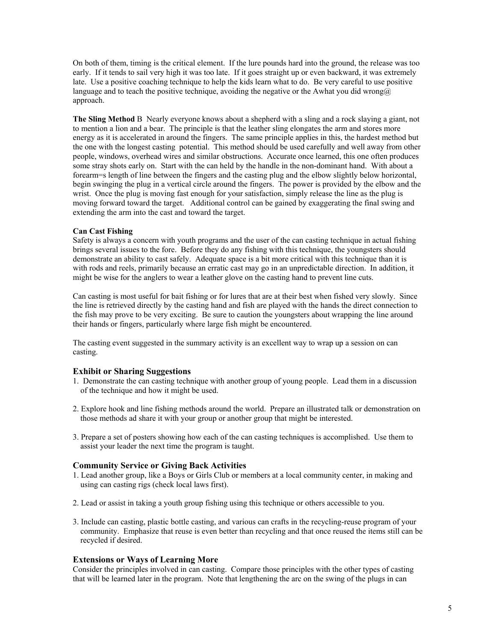On both of them, timing is the critical element. If the lure pounds hard into the ground, the release was too early. If it tends to sail very high it was too late. If it goes straight up or even backward, it was extremely late. Use a positive coaching technique to help the kids learn what to do. Be very careful to use positive language and to teach the positive technique, avoiding the negative or the Awhat you did wrong@ approach.

**The Sling Method** B Nearly everyone knows about a shepherd with a sling and a rock slaying a giant, not to mention a lion and a bear. The principle is that the leather sling elongates the arm and stores more energy as it is accelerated in around the fingers. The same principle applies in this, the hardest method but the one with the longest casting potential. This method should be used carefully and well away from other people, windows, overhead wires and similar obstructions. Accurate once learned, this one often produces some stray shots early on. Start with the can held by the handle in the non-dominant hand. With about a forearm=s length of line between the fingers and the casting plug and the elbow slightly below horizontal, begin swinging the plug in a vertical circle around the fingers. The power is provided by the elbow and the wrist. Once the plug is moving fast enough for your satisfaction, simply release the line as the plug is moving forward toward the target. Additional control can be gained by exaggerating the final swing and extending the arm into the cast and toward the target.

#### **Can Cast Fishing**

Safety is always a concern with youth programs and the user of the can casting technique in actual fishing brings several issues to the fore. Before they do any fishing with this technique, the youngsters should demonstrate an ability to cast safely. Adequate space is a bit more critical with this technique than it is with rods and reels, primarily because an erratic cast may go in an unpredictable direction. In addition, it might be wise for the anglers to wear a leather glove on the casting hand to prevent line cuts.

Can casting is most useful for bait fishing or for lures that are at their best when fished very slowly. Since the line is retrieved directly by the casting hand and fish are played with the hands the direct connection to the fish may prove to be very exciting. Be sure to caution the youngsters about wrapping the line around their hands or fingers, particularly where large fish might be encountered.

The casting event suggested in the summary activity is an excellent way to wrap up a session on can casting.

# **Exhibit or Sharing Suggestions**

- 1. Demonstrate the can casting technique with another group of young people. Lead them in a discussion of the technique and how it might be used.
- 2. Explore hook and line fishing methods around the world. Prepare an illustrated talk or demonstration on those methods ad share it with your group or another group that might be interested.
- 3. Prepare a set of posters showing how each of the can casting techniques is accomplished. Use them to assist your leader the next time the program is taught.

# **Community Service or Giving Back Activities**

- 1. Lead another group, like a Boys or Girls Club or members at a local community center, in making and using can casting rigs (check local laws first).
- 2. Lead or assist in taking a youth group fishing using this technique or others accessible to you.
- 3. Include can casting, plastic bottle casting, and various can crafts in the recycling-reuse program of your community. Emphasize that reuse is even better than recycling and that once reused the items still can be recycled if desired.

# **Extensions or Ways of Learning More**

Consider the principles involved in can casting. Compare those principles with the other types of casting that will be learned later in the program. Note that lengthening the arc on the swing of the plugs in can